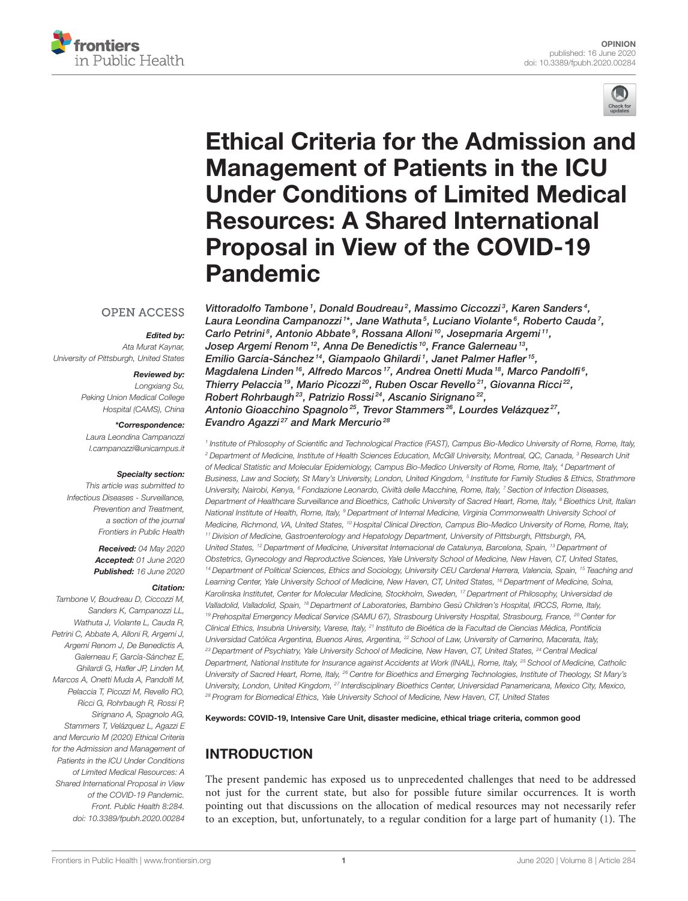



# Ethical Criteria for the Admission and Management of Patients in the ICU [Under Conditions of Limited Medical](https://www.frontiersin.org/articles/10.3389/fpubh.2020.00284/full) Resources: A Shared International Proposal in View of the COVID-19 Pandemic

## **OPEN ACCESS**

### Edited by:

Ata Murat Kaynar, University of Pittsburgh, United States

#### Reviewed by:

Longxiang Su, Peking Union Medical College Hospital (CAMS), China

#### \*Correspondence:

Laura Leondina Campanozzi [l.campanozzi@unicampus.it](mailto:l.campanozzi@unicampus.it)

#### Specialty section:

This article was submitted to Infectious Diseases - Surveillance, Prevention and Treatment, a section of the journal Frontiers in Public Health

> Received: 04 May 2020 Accepted: 01 June 2020 Published: 16 June 2020

#### Citation:

Tambone V, Boudreau D, Ciccozzi M, Sanders K, Campanozzi LL, Wathuta J, Violante L, Cauda R Petrini C, Abbate A, Alloni R, Argemi J, Argemí Renom J, De Benedictis A, Galerneau F, García-Sánchez E, Ghilardi G, Hafler JP, Linden M, Marcos A, Onetti Muda A, Pandolfi M Pelaccia T, Picozzi M, Revello RO, Ricci G, Rohrbaugh R, Rossi P, Sirignano A, Spagnolo AG, Stammers T, Velázquez L, Agazzi E and Mercurio M (2020) Ethical Criteria for the Admission and Management of Patients in the ICU Under Conditions of Limited Medical Resources: A Shared International Proposal in View of the COVID-19 Pandemic. Front. Public Health 8:284. doi: [10.3389/fpubh.2020.00284](https://doi.org/10.3389/fpubh.2020.00284)

[Vittoradolfo Tambone](http://loop.frontiersin.org/people/997676/overview)<sup>1</sup>, [Donald Boudreau](http://loop.frontiersin.org/people/978069/overview)<sup>2</sup>, [Massimo Ciccozzi](http://loop.frontiersin.org/people/655401/overview)<sup>3</sup>, [Karen Sanders](http://loop.frontiersin.org/people/997807/overview)<sup>4</sup>, [Laura Leondina Campanozzi](http://loop.frontiersin.org/people/969888/overview) $1^*$ , Jane Wathuta $^5$ , Luciano Violante $^6$ , Roberto Cauda $^7$ , [Carlo Petrini](http://loop.frontiersin.org/people/997590/overview)<sup>8</sup>, [Antonio Abbate](http://loop.frontiersin.org/people/613650/overview)<sup>9</sup>, Rossana Alloni<sup>10</sup>, [Josepmaria Argemi](http://loop.frontiersin.org/people/802370/overview)<sup>11</sup>, Josep Argemí Renom <sup>12</sup>, [Anna De Benedictis](http://loop.frontiersin.org/people/997565/overview) <sup>10</sup>, France Galerneau <sup>13</sup>, [Emilio García-Sánchez](http://loop.frontiersin.org/people/997580/overview)<sup>14</sup>, [Giampaolo Ghilardi](http://loop.frontiersin.org/people/997523/overview)<sup>1</sup>, [Janet Palmer Hafler](http://loop.frontiersin.org/people/604975/overview)<sup>15</sup>, [Magdalena Linden](http://loop.frontiersin.org/people/980181/overview) <sup>16</sup>, [Alfredo Marcos](http://loop.frontiersin.org/people/997593/overview) <sup>17</sup>, [Andrea Onetti Muda](http://loop.frontiersin.org/people/993973/overview) <sup>18</sup>, Marco Pandolfi<sup>6</sup>, [Thierry Pelaccia](http://loop.frontiersin.org/people/997625/overview)<sup>19</sup>, [Mario Picozzi](http://loop.frontiersin.org/people/526378/overview)<sup>20</sup>, Ruben Oscar Revello<sup>21</sup>, [Giovanna Ricci](http://loop.frontiersin.org/people/873483/overview)<sup>22</sup>, Robert Rohrbaugh<sup>23</sup>, Patrizio Rossi<sup>24</sup>, [Ascanio Sirignano](http://loop.frontiersin.org/people/993847/overview)<sup>22</sup>, [Antonio Gioacchino Spagnolo](http://loop.frontiersin.org/people/222044/overview)<sup>25</sup>, Trevor Stammers<sup>26</sup>, Lourdes Velázquez<sup>27</sup>, Evandro Agazzi<sup>27</sup> and [Mark Mercurio](http://loop.frontiersin.org/people/998014/overview)<sup>28</sup>

1 Institute of Philosophy of Scientific and Technological Practice (FAST), Campus Bio-Medico University of Rome, Rome, Italy, <sup>2</sup> Department of Medicine, Institute of Health Sciences Education, McGill University, Montreal, QC, Canada, <sup>3</sup> Research Unit of Medical Statistic and Molecular Epidemiology, Campus Bio-Medico University of Rome, Rome, Italy, <sup>4</sup> Department of Business, Law and Society, St Mary's University, London, United Kingdom, <sup>5</sup> Institute for Family Studies & Ethics, Strathmore University, Nairobi, Kenya, <sup>6</sup> Fondazione Leonardo, Civiltà delle Macchine, Rome, Italy, <sup>7</sup> Section of Infection Diseases, Department of Healthcare Surveillance and Bioethics, Catholic University of Sacred Heart, Rome, Italy, <sup>8</sup> Bioethics Unit, Italian National Institute of Health, Rome, Italy, <sup>9</sup> Department of Internal Medicine, Virginia Commonwealth University School of Medicine, Richmond, VA, United States, <sup>10</sup> Hospital Clinical Direction, Campus Bio-Medico University of Rome, Rome, Italy, <sup>11</sup> Division of Medicine, Gastroenterology and Hepatology Department, University of Pittsburgh, Pittsburgh, PA, United States, <sup>12</sup> Department of Medicine, Universitat Internacional de Catalunya, Barcelona, Spain, <sup>13</sup> Department of Obstetrics, Gynecology and Reproductive Sciences, Yale University School of Medicine, New Haven, CT, United States, <sup>14</sup> Department of Political Sciences, Ethics and Sociology, University CEU Cardenal Herrera, Valencia, Spain, <sup>15</sup> Teaching and Learning Center, Yale University School of Medicine, New Haven, CT, United States, <sup>16</sup> Department of Medicine, Solna, Karolinska Institutet, Center for Molecular Medicine, Stockholm, Sweden, <sup>17</sup> Department of Philosophy, Universidad de Valladolid, Valladolid, Spain, <sup>18</sup> Department of Laboratories, Bambino Gesù Children's Hospital, IRCCS, Rome, Italy, <sup>19</sup> Prehospital Emergency Medical Service (SAMU 67), Strasbourg University Hospital, Strasbourg, France, <sup>20</sup> Center for Clinical Ethics, Insubria University, Varese, Italy, <sup>21</sup> Instituto de Bioética de la Facultad de Ciencias Médica, Pontificia Universidad Católica Argentina, Buenos Aires, Argentina, <sup>22</sup> School of Law, University of Camerino, Macerata, Italy, <sup>23</sup> Department of Psychiatry, Yale University School of Medicine, New Haven, CT, United States, <sup>24</sup> Central Medical Department, National Institute for Insurance against Accidents at Work (INAIL), Rome, Italy, <sup>25</sup> School of Medicine, Catholic University of Sacred Heart, Rome, Italy, <sup>26</sup> Centre for Bioethics and Emerging Technologies, Institute of Theology, St Mary's University, London, United Kingdom, <sup>27</sup> Interdisciplinary Bioethics Center, Universidad Panamericana, Mexico City, Mexico, <sup>28</sup> Program for Biomedical Ethics, Yale University School of Medicine, New Haven, CT, United States

Keywords: COVID-19, Intensive Care Unit, disaster medicine, ethical triage criteria, common good

# INTRODUCTION

The present pandemic has exposed us to unprecedented challenges that need to be addressed not just for the current state, but also for possible future similar occurrences. It is worth pointing out that discussions on the allocation of medical resources may not necessarily refer to an exception, but, unfortunately, to a regular condition for a large part of humanity [\(1\)](#page-1-0). The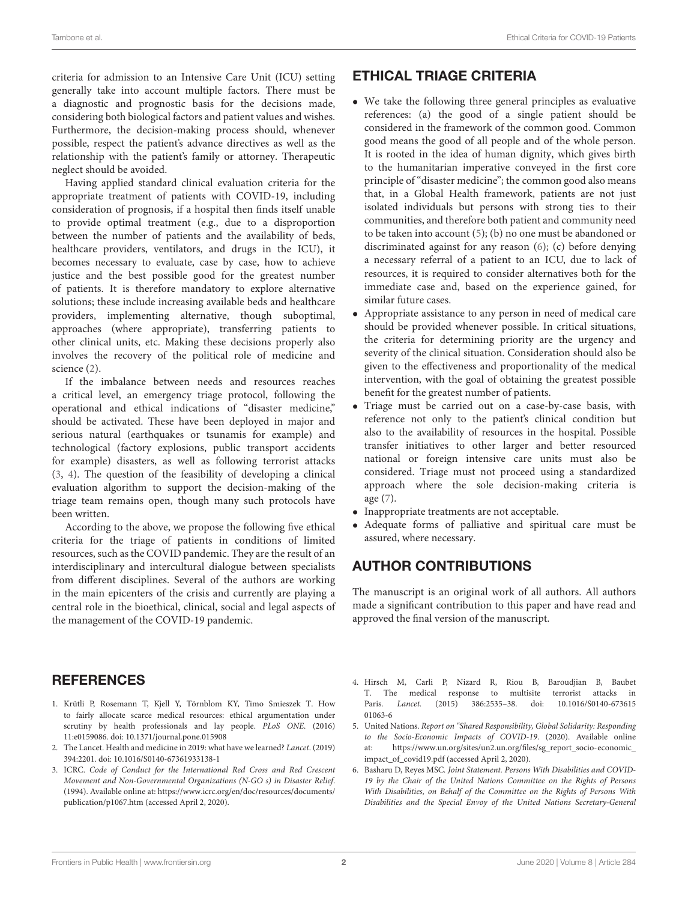criteria for admission to an Intensive Care Unit (ICU) setting generally take into account multiple factors. There must be a diagnostic and prognostic basis for the decisions made, considering both biological factors and patient values and wishes. Furthermore, the decision-making process should, whenever possible, respect the patient's advance directives as well as the relationship with the patient's family or attorney. Therapeutic neglect should be avoided.

Having applied standard clinical evaluation criteria for the appropriate treatment of patients with COVID-19, including consideration of prognosis, if a hospital then finds itself unable to provide optimal treatment (e.g., due to a disproportion between the number of patients and the availability of beds, healthcare providers, ventilators, and drugs in the ICU), it becomes necessary to evaluate, case by case, how to achieve justice and the best possible good for the greatest number of patients. It is therefore mandatory to explore alternative solutions; these include increasing available beds and healthcare providers, implementing alternative, though suboptimal, approaches (where appropriate), transferring patients to other clinical units, etc. Making these decisions properly also involves the recovery of the political role of medicine and science [\(2\)](#page-1-1).

If the imbalance between needs and resources reaches a critical level, an emergency triage protocol, following the operational and ethical indications of "disaster medicine," should be activated. These have been deployed in major and serious natural (earthquakes or tsunamis for example) and technological (factory explosions, public transport accidents for example) disasters, as well as following terrorist attacks [\(3,](#page-1-2) [4\)](#page-1-3). The question of the feasibility of developing a clinical evaluation algorithm to support the decision-making of the triage team remains open, though many such protocols have been written.

According to the above, we propose the following five ethical criteria for the triage of patients in conditions of limited resources, such as the COVID pandemic. They are the result of an interdisciplinary and intercultural dialogue between specialists from different disciplines. Several of the authors are working in the main epicenters of the crisis and currently are playing a central role in the bioethical, clinical, social and legal aspects of the management of the COVID-19 pandemic.

# ETHICAL TRIAGE CRITERIA

- We take the following three general principles as evaluative references: (a) the good of a single patient should be considered in the framework of the common good. Common good means the good of all people and of the whole person. It is rooted in the idea of human dignity, which gives birth to the humanitarian imperative conveyed in the first core principle of "disaster medicine"; the common good also means that, in a Global Health framework, patients are not just isolated individuals but persons with strong ties to their communities, and therefore both patient and community need to be taken into account [\(5\)](#page-1-4); (b) no one must be abandoned or discriminated against for any reason [\(6\)](#page-1-5); (c) before denying a necessary referral of a patient to an ICU, due to lack of resources, it is required to consider alternatives both for the immediate case and, based on the experience gained, for similar future cases.
- Appropriate assistance to any person in need of medical care should be provided whenever possible. In critical situations, the criteria for determining priority are the urgency and severity of the clinical situation. Consideration should also be given to the effectiveness and proportionality of the medical intervention, with the goal of obtaining the greatest possible benefit for the greatest number of patients.
- Triage must be carried out on a case-by-case basis, with reference not only to the patient's clinical condition but also to the availability of resources in the hospital. Possible transfer initiatives to other larger and better resourced national or foreign intensive care units must also be considered. Triage must not proceed using a standardized approach where the sole decision-making criteria is age [\(7\)](#page-2-0).
- Inappropriate treatments are not acceptable.
- Adequate forms of palliative and spiritual care must be assured, where necessary.

## AUTHOR CONTRIBUTIONS

The manuscript is an original work of all authors. All authors made a significant contribution to this paper and have read and approved the final version of the manuscript.

## **REFERENCES**

- <span id="page-1-0"></span>1. Krütli P, Rosemann T, Kjell Y, Törnblom KY, Timo Smieszek T. How to fairly allocate scarce medical resources: ethical argumentation under scrutiny by health professionals and lay people. PLoS ONE. (2016) 11:e0159086. doi: [10.1371/journal.pone.015908](https://doi.org/10.1371/journal.pone.015908)
- <span id="page-1-1"></span>2. The Lancet. Health and medicine in 2019: what have we learned? Lancet. (2019) 394:2201. doi: [10.1016/S0140-67361933138-1](https://doi.org/10.1016/S0140-67361933138-1)
- <span id="page-1-2"></span>3. ICRC. Code of Conduct for the International Red Cross and Red Crescent Movement and Non-Governmental Organizations (N-GO s) in Disaster Relief. (1994). Available online at: [https://www.icrc.org/en/doc/resources/documents/](https://www.icrc.org/en/doc/resources/documents/publication/p1067.htm) [publication/p1067.htm](https://www.icrc.org/en/doc/resources/documents/publication/p1067.htm) (accessed April 2, 2020).
- <span id="page-1-3"></span>4. Hirsch M, Carli P, Nizard R, Riou B, Baroudjian B, Baubet T. The medical response to multisite terrorist attacks in Paris. *Lancet*. (2015) 386:2535–38. doi: 10.1016/S0140-673615 Lancet. (2015) 386:2535-38. doi: 01063-6
- <span id="page-1-4"></span>5. United Nations. Report on "Shared Responsibility, Global Solidarity: Responding to the Socio-Economic Impacts of COVID-19. (2020). Available online at: [https://www.un.org/sites/un2.un.org/files/sg\\_report\\_socio-economic\\_](https://www.un.org/sites/un2.un.org/files/sg_report_socio-economic_impact_of_covid19.pdf) [impact\\_of\\_covid19.pdf](https://www.un.org/sites/un2.un.org/files/sg_report_socio-economic_impact_of_covid19.pdf) (accessed April 2, 2020).
- <span id="page-1-5"></span>6. Basharu D, Reyes MSC. Joint Statement. Persons With Disabilities and COVID-19 by the Chair of the United Nations Committee on the Rights of Persons With Disabilities, on Behalf of the Committee on the Rights of Persons With Disabilities and the Special Envoy of the United Nations Secretary-General